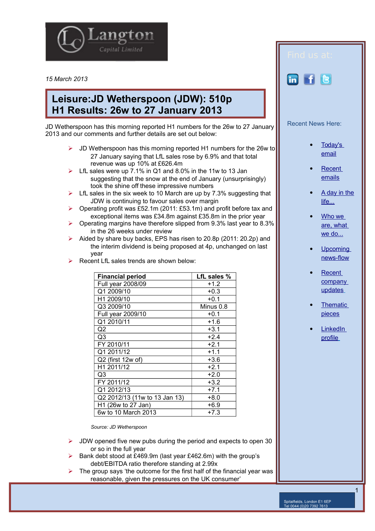

*15 March 2013*

## **Leisure:JD Wetherspoon (JDW): 510p H1 Results: 26w to 27 January 2013**

JD Wetherspoon has this morning reported H1 numbers for the 26w to 27 January 2013 and our comments and further details are set out below:

- $\triangleright$  JD Wetherspoon has this morning reported H1 numbers for the 26w to 27 January saying that LfL sales rose by 6.9% and that total revenue was up 10% at £626.4m
- LfL sales were up 7.1% in Q1 and 8.0% in the 11w to 13 Jan suggesting that the snow at the end of January (unsurprisingly) took the shine off these impressive numbers
- $\triangleright$  LfL sales in the six week to 10 March are up by 7.3% suggesting that JDW is continuing to favour sales over margin
- $\triangleright$  Operating profit was £52.1m (2011: £53.1m) and profit before tax and exceptional items was £34.8m against £35.8m in the prior year
- $\triangleright$  Operating margins have therefore slipped from 9.3% last year to 8.3% in the 26 weeks under review
- Aided by share buy backs, EPS has risen to 20.8p (2011: 20.2p) and the interim dividend is being proposed at 4p, unchanged on last year
- Recent LfL sales trends are shown below:

| <b>Financial period</b>       | LfL sales % |
|-------------------------------|-------------|
| Full year 2008/09             | $+1.2$      |
| Q1 2009/10                    | $+0.3$      |
| H1 2009/10                    | $+0.1$      |
| Q3 2009/10                    | Minus 0.8   |
| Full year 2009/10             | $+0.1$      |
| Q1 2010/11                    | $+1.6$      |
| Q2                            | $+3.1$      |
| Q3                            | $+2.4$      |
| FY 2010/11                    | $+2.1$      |
| Q1 2011/12                    | $+1.1$      |
| Q2 (first 12w of)             | $+3.6$      |
| H1 2011/12                    | $+2.1$      |
| Q3                            | $+2.0$      |
| FY 2011/12                    | $+3.2$      |
| Q1 2012/13                    | $+7.1$      |
| Q2 2012/13 (11w to 13 Jan 13) | $+8.0$      |
| H1 (26w to 27 Jan)            | $+6.9$      |
| 6w to 10 March 2013           | $+7.3$      |

*Source: JD Wetherspoon* 

- JDW opened five new pubs during the period and expects to open 30 or so in the full year
- Bank debt stood at £469.9m (last year £462.6m) with the group's debt/EBITDA ratio therefore standing at 2.99x
- The group says 'the outcome for the first half of the financial year was reasonable, given the pressures on the UK consumer'

de la provincia de la provincia de la provincia de la provincia de la provincia de la provincia de la provinci



**LinkedIn**  [profile](http://www.linkedin.com/profile/view?id=85312462&authType=name&authToken=qoBn&locale=en_US&pvs=pp&trk=ppro_viewmore)